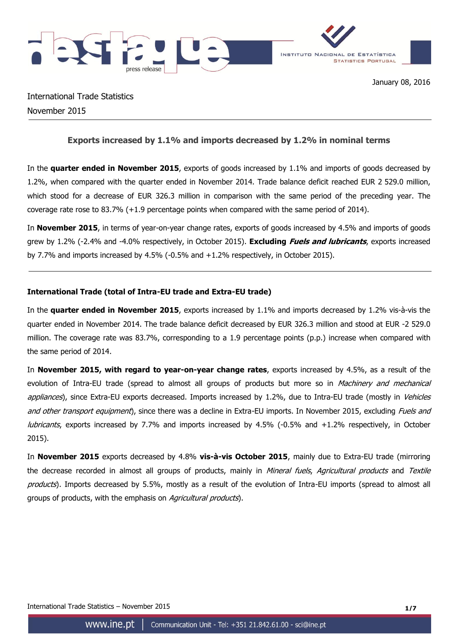

International Trade Statistics November 2015

## **Exports increased by 1.1% and imports decreased by 1.2% in nominal terms**

In the **quarter ended in November 2015**, exports of goods increased by 1.1% and imports of goods decreased by 1.2%, when compared with the quarter ended in November 2014. Trade balance deficit reached EUR 2 529.0 million, which stood for a decrease of EUR 326.3 million in comparison with the same period of the preceding year. The coverage rate rose to 83.7% (+1.9 percentage points when compared with the same period of 2014).

In **November 2015**, in terms of year-on-year change rates, exports of goods increased by 4.5% and imports of goods grew by 1.2% (-2.4% and -4.0% respectively, in October 2015). **Excluding Fuels and lubricants**, exports increased by 7.7% and imports increased by 4.5% (-0.5% and +1.2% respectively, in October 2015).

## **International Trade (total of Intra-EU trade and Extra-EU trade)**

In the **quarter ended in November 2015**, exports increased by 1.1% and imports decreased by 1.2% vis-à-vis the quarter ended in November 2014. The trade balance deficit decreased by EUR 326.3 million and stood at EUR -2 529.0 million. The coverage rate was 83.7%, corresponding to a 1.9 percentage points (p.p.) increase when compared with the same period of 2014.

In **November 2015, with regard to year-on-year change rates**, exports increased by 4.5%, as a result of the evolution of Intra-EU trade (spread to almost all groups of products but more so in Machinery and mechanical appliances), since Extra-EU exports decreased. Imports increased by 1.2%, due to Intra-EU trade (mostly in Vehicles and other transport equipment), since there was a decline in Extra-EU imports. In November 2015, excluding Fuels and lubricants, exports increased by 7.7% and imports increased by 4.5% (-0.5% and +1.2% respectively, in October 2015).

In **November 2015** exports decreased by 4.8% **vis-à-vis October 2015**, mainly due to Extra-EU trade (mirroring the decrease recorded in almost all groups of products, mainly in Mineral fuels, Agricultural products and Textile products). Imports decreased by 5.5%, mostly as a result of the evolution of Intra-EU imports (spread to almost all groups of products, with the emphasis on Agricultural products).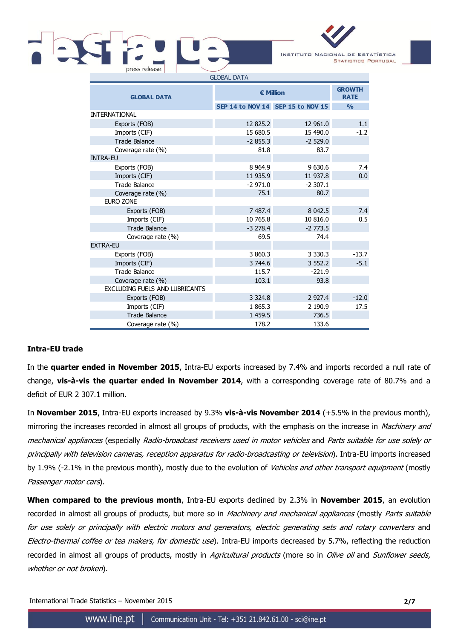# press release GLOBAL DATA



| <b>GLOBAL DATA</b>             | <b>€ Million</b> | <b>GROWTH</b><br><b>RATE</b>      |               |
|--------------------------------|------------------|-----------------------------------|---------------|
|                                |                  | SEP 14 to NOV 14 SEP 15 to NOV 15 | $\frac{0}{0}$ |
| <b>INTERNATIONAL</b>           |                  |                                   |               |
| Exports (FOB)                  | 12 825.2         | 12 961.0                          | 1.1           |
| Imports (CIF)                  | 15 680.5         | 15 490.0                          | $-1.2$        |
| <b>Trade Balance</b>           | $-2855.3$        | $-2529.0$                         |               |
| Coverage rate (%)              | 81.8             | 83.7                              |               |
| <b>INTRA-EU</b>                |                  |                                   |               |
| Exports (FOB)                  | 8 9 64.9         | 9 630.6                           | 7.4           |
| Imports (CIF)                  | 11 935.9         | 11 937.8                          | 0.0           |
| <b>Trade Balance</b>           | $-2971.0$        | $-2307.1$                         |               |
| Coverage rate (%)              | 75.1             | 80.7                              |               |
| <b>EURO ZONE</b>               |                  |                                   |               |
| Exports (FOB)                  | 7 487.4          | 8 0 4 2.5                         | 7.4           |
| Imports (CIF)                  | 10 765.8         | 10 816.0                          | 0.5           |
| <b>Trade Balance</b>           | $-3278.4$        | $-2773.5$                         |               |
| Coverage rate (%)              | 69.5             | 74.4                              |               |
| <b>EXTRA-EU</b>                |                  |                                   |               |
| Exports (FOB)                  | 3 860.3          | 3 3 3 0 . 3                       | $-13.7$       |
| Imports (CIF)                  | 3 744.6          | 3 5 5 2.2                         | $-5.1$        |
| <b>Trade Balance</b>           | 115.7            | $-221.9$                          |               |
| Coverage rate (%)              | 103.1            | 93.8                              |               |
| EXCLUDING FUELS AND LUBRICANTS |                  |                                   |               |
| Exports (FOB)                  | 3 3 2 4 .8       | 2 9 2 7.4                         | $-12.0$       |
| Imports (CIF)                  | 1 865.3          | 2 190.9                           | 17.5          |
| <b>Trade Balance</b>           | 1 459.5          | 736.5                             |               |
| Coverage rate (%)              | 178.2            | 133.6                             |               |

# **Intra-EU trade**

In the **quarter ended in November 2015**, Intra-EU exports increased by 7.4% and imports recorded a null rate of change, **vis-à-vis the quarter ended in November 2014**, with a corresponding coverage rate of 80.7% and a deficit of EUR 2 307.1 million.

In **November 2015**, Intra-EU exports increased by 9.3% **vis-à-vis November 2014** (+5.5% in the previous month), mirroring the increases recorded in almost all groups of products, with the emphasis on the increase in Machinery and mechanical appliances (especially Radio-broadcast receivers used in motor vehicles and Parts suitable for use solely or principally with television cameras, reception apparatus for radio-broadcasting or television). Intra-EU imports increased by 1.9% (-2.1% in the previous month), mostly due to the evolution of Vehicles and other transport equipment (mostly Passenger motor cars).

**When compared to the previous month**, Intra-EU exports declined by 2.3% in **November 2015**, an evolution recorded in almost all groups of products, but more so in Machinery and mechanical appliances (mostly Parts suitable for use solely or principally with electric motors and generators, electric generating sets and rotary converters and Electro-thermal coffee or tea makers, for domestic use). Intra-EU imports decreased by 5.7%, reflecting the reduction recorded in almost all groups of products, mostly in Agricultural products (more so in Olive oil and Sunflower seeds, whether or not broken).

International Trade Statistics – November 2015 **2/7**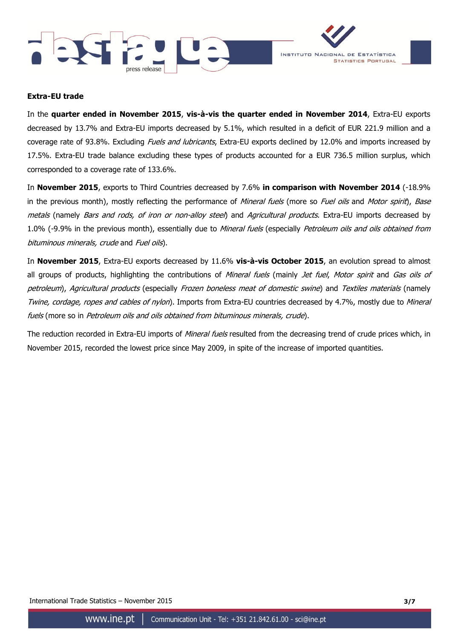



## **Extra-EU trade**

In the **quarter ended in November 2015**, **vis-à-vis the quarter ended in November 2014**, Extra-EU exports decreased by 13.7% and Extra-EU imports decreased by 5.1%, which resulted in a deficit of EUR 221.9 million and a coverage rate of 93.8%. Excluding Fuels and lubricants, Extra-EU exports declined by 12.0% and imports increased by 17.5%. Extra-EU trade balance excluding these types of products accounted for a EUR 736.5 million surplus, which corresponded to a coverage rate of 133.6%.

In **November 2015**, exports to Third Countries decreased by 7.6% **in comparison with November 2014** (-18.9% in the previous month), mostly reflecting the performance of Mineral fuels (more so Fuel oils and Motor spirit), Base metals (namely *Bars and rods, of iron or non-alloy steel*) and *Agricultural products*. Extra-EU imports decreased by 1.0% (-9.9% in the previous month), essentially due to Mineral fuels (especially Petroleum oils and oils obtained from bituminous minerals, crude and Fuel oils).

In **November 2015**, Extra-EU exports decreased by 11.6% **vis-à-vis October 2015**, an evolution spread to almost all groups of products, highlighting the contributions of Mineral fuels (mainly Jet fuel, Motor spirit and Gas oils of petroleum), Agricultural products (especially Frozen boneless meat of domestic swine) and Textiles materials (namely Twine, cordage, ropes and cables of nylon). Imports from Extra-EU countries decreased by 4.7%, mostly due to Mineral fuels (more so in Petroleum oils and oils obtained from bituminous minerals, crude).

The reduction recorded in Extra-EU imports of *Mineral fuels* resulted from the decreasing trend of crude prices which, in November 2015, recorded the lowest price since May 2009, in spite of the increase of imported quantities.

International Trade Statistics – November 2015 **3/7**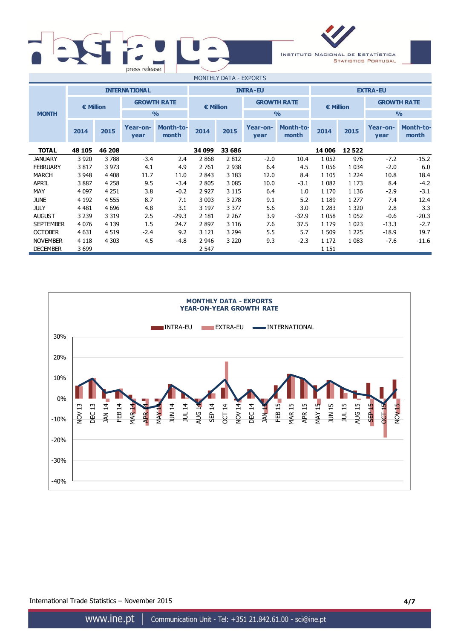



| .<br>--------    |                    |         |                      |                           |                  |         |                    |                           |                    |               |                    |                           |
|------------------|--------------------|---------|----------------------|---------------------------|------------------|---------|--------------------|---------------------------|--------------------|---------------|--------------------|---------------------------|
|                  |                    |         | <b>INTERNATIONAL</b> |                           |                  |         | <b>INTRA-EU</b>    |                           | <b>EXTRA-EU</b>    |               |                    |                           |
|                  | $\epsilon$ Million |         | <b>GROWTH RATE</b>   |                           | <b>€ Million</b> |         | <b>GROWTH RATE</b> |                           | $\epsilon$ Million |               | <b>GROWTH RATE</b> |                           |
| <b>MONTH</b>     |                    |         |                      | $\frac{0}{0}$             |                  |         |                    | O/2                       |                    | $\frac{O}{O}$ |                    |                           |
|                  | 2014               | 2015    | Year-on-<br>year     | <b>Month-to-</b><br>month | 2014             | 2015    | Year-on-<br>year   | <b>Month-to-</b><br>month | 2014               | 2015          | Year-on-<br>year   | <b>Month-to-</b><br>month |
| <b>TOTAL</b>     | 48 105             | 46 208  |                      |                           | 34 099           | 33 686  |                    |                           | 14 006             | 12522         |                    |                           |
| <b>JANUARY</b>   | 3 9 2 0            | 3788    | $-3.4$               | 2.4                       | 2868             | 2812    | $-2.0$             | 10.4                      | 1 0 5 2            | 976           | $-7.2$             | $-15.2$                   |
| <b>FEBRUARY</b>  | 3817               | 3 9 7 3 | 4.1                  | 4.9                       | 2 7 6 1          | 2 9 3 8 | 6.4                | 4.5                       | 1056               | 1 0 3 4       | $-2.0$             | 6.0                       |
| <b>MARCH</b>     | 3 9 4 8            | 4 4 0 8 | 11.7                 | 11.0                      | 2843             | 3 1 8 3 | 12.0               | 8.4                       | 1 1 0 5            | 1 2 2 4       | 10.8               | 18.4                      |
| <b>APRIL</b>     | 3887               | 4 2 5 8 | 9.5                  | $-3.4$                    | 2 8 0 5          | 3 0 8 5 | 10.0               | $-3.1$                    | 1 0 8 2            | 1 1 7 3       | 8.4                | $-4.2$                    |
| MAY              | 4 0 9 7            | 4 2 5 1 | 3.8                  | $-0.2$                    | 2 9 2 7          | 3 1 1 5 | 6.4                | 1.0                       | 1 1 7 0            | 1 1 3 6       | $-2.9$             | $-3.1$                    |
| <b>JUNE</b>      | 4 1 9 2            | 4 5 5 5 | 8.7                  | 7.1                       | 3 0 0 3          | 3 2 7 8 | 9.1                | 5.2                       | 1 1 8 9            | 1 277         | 7.4                | 12.4                      |
| <b>JULY</b>      | 4 4 8 1            | 4 6 9 6 | 4.8                  | 3.1                       | 3 197            | 3 3 7 7 | 5.6                | 3.0                       | 1 2 8 3            | 1 3 2 0       | 2.8                | 3.3                       |
| <b>AUGUST</b>    | 3 2 3 9            | 3 3 1 9 | 2.5                  | $-29.3$                   | 2 1 8 1          | 2 2 6 7 | 3.9                | $-32.9$                   | 1 0 5 8            | 1 0 5 2       | $-0.6$             | $-20.3$                   |
| <b>SEPTEMBER</b> | 4 0 7 6            | 4 1 3 9 | 1.5                  | 24.7                      | 2897             | 3 1 1 6 | 7.6                | 37.5                      | 1 1 7 9            | 1 0 2 3       | $-13.3$            | $-2.7$                    |
| <b>OCTOBER</b>   | 4 6 31             | 4 5 1 9 | $-2.4$               | 9.2                       | 3 1 2 1          | 3 2 9 4 | 5.5                | 5.7                       | 1 509              | 1 2 2 5       | $-18.9$            | 19.7                      |
| <b>NOVEMBER</b>  | 4 1 1 8            | 4 3 0 3 | 4.5                  | $-4.8$                    | 2 946            | 3 2 2 0 | 9.3                | $-2.3$                    | 1 1 7 2            | 1 0 8 3       | $-7.6$             | $-11.6$                   |
| <b>DECEMBER</b>  | 3699               |         |                      |                           | 2 547            |         |                    |                           | 1 1 5 1            |               |                    |                           |



International Trade Statistics – November 2015 **4/7**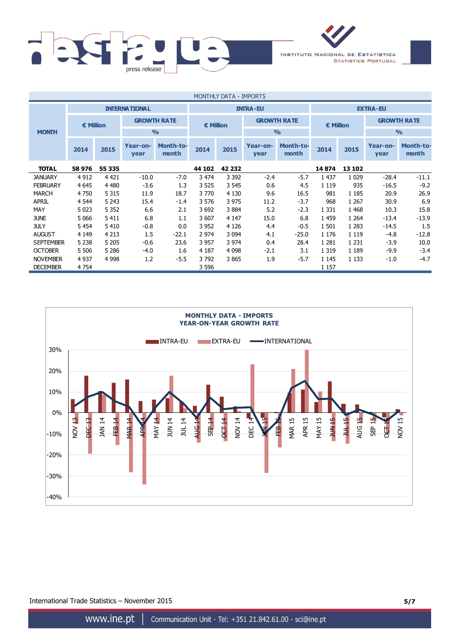

| <b>MONTHLY DATA - IMPORTS</b> |                      |                    |                  |                           |         |                    |                  |                           |         |                    |                  |                           |
|-------------------------------|----------------------|--------------------|------------------|---------------------------|---------|--------------------|------------------|---------------------------|---------|--------------------|------------------|---------------------------|
|                               | <b>INTERNATIONAL</b> |                    |                  | <b>INTRA-EU</b>           |         |                    |                  | <b>EXTRA-EU</b>           |         |                    |                  |                           |
| € Million                     |                      | <b>GROWTH RATE</b> |                  | <b>€ Million</b>          |         | <b>GROWTH RATE</b> |                  | € Million                 |         | <b>GROWTH RATE</b> |                  |                           |
| <b>MONTH</b>                  |                      |                    |                  | O/2                       |         |                    |                  | $\frac{0}{0}$             |         |                    | $\frac{O}{O}$    |                           |
|                               | 2014                 | 2015               | Year-on-<br>year | <b>Month-to-</b><br>month | 2014    | 2015               | Year-on-<br>year | <b>Month-to-</b><br>month | 2014    | 2015               | Year-on-<br>year | <b>Month-to-</b><br>month |
| <b>TOTAL</b>                  | 58 976               | 55 335             |                  |                           | 44 102  | 42 232             |                  |                           | 14874   | 13 102             |                  |                           |
| <b>JANUARY</b>                | 4 9 1 2              | 4 4 2 1            | $-10.0$          | $-7.0$                    | 3 474   | 3 3 9 2            | $-2.4$           | $-5.7$                    | 1 4 3 7 | 1 0 2 9            | $-28.4$          | $-11.1$                   |
| <b>FEBRUARY</b>               | 4 6 4 5              | 4 4 8 0            | $-3.6$           | 1.3                       | 3 5 2 5 | 3 5 4 5            | 0.6              | 4.5                       | 1 1 1 9 | 935                | $-16.5$          | $-9.2$                    |
| <b>MARCH</b>                  | 4 7 5 0              | 5 3 1 5            | 11.9             | 18.7                      | 3770    | 4 1 3 0            | 9.6              | 16.5                      | 981     | 1 1 8 5            | 20.9             | 26.9                      |
| <b>APRIL</b>                  | 4 5 44               | 5 2 4 3            | 15.4             | $-1.4$                    | 3 5 7 6 | 3 9 7 5            | 11.2             | $-3.7$                    | 968     | 1 2 6 7            | 30.9             | 6.9                       |
| MAY                           | 5 0 23               | 5 3 5 2            | 6.6              | 2.1                       | 3692    | 3884               | 5.2              | $-2.3$                    | 1 3 3 1 | 1 4 6 8            | 10.3             | 15.8                      |
| <b>JUNE</b>                   | 5 0 6 6              | 5 4 1 1            | 6.8              | 1.1                       | 3 607   | 4 1 4 7            | 15.0             | 6.8                       | 1 4 5 9 | 1 2 6 4            | $-13.4$          | $-13.9$                   |
| <b>JULY</b>                   | 5 4 5 4              | 5410               | $-0.8$           | 0.0                       | 3 9 5 2 | 4 1 2 6            | 4.4              | $-0.5$                    | 1 5 0 1 | 1 2 8 3            | $-14.5$          | 1.5                       |
| <b>AUGUST</b>                 | 4 1 4 9              | 4 2 1 3            | 1.5              | $-22.1$                   | 2 9 7 4 | 3 0 9 4            | 4.1              | $-25.0$                   | 1 1 7 6 | 1 1 1 9            | $-4.8$           | $-12.8$                   |
| <b>SEPTEMBER</b>              | 5 2 3 8              | 5 2 0 5            | $-0.6$           | 23.6                      | 3 957   | 3 974              | 0.4              | 28.4                      | 1 2 8 1 | 1 2 3 1            | $-3.9$           | 10.0                      |
| <b>OCTOBER</b>                | 5 5 0 6              | 5 2 8 6            | $-4.0$           | 1.6                       | 4 1 8 7 | 4 0 9 8            | $-2.1$           | 3.1                       | 1 3 1 9 | 1 1 8 9            | $-9.9$           | $-3.4$                    |
| <b>NOVEMBER</b>               | 4 9 3 7              | 4 9 9 8            | 1.2              | $-5.5$                    | 3792    | 3865               | 1.9              | $-5.7$                    | 1 1 4 5 | 1 1 3 3            | $-1.0$           | $-4.7$                    |
| <b>DECEMBER</b>               | 4 7 5 4              |                    |                  |                           | 3 596   |                    |                  |                           | 1 1 5 7 |                    |                  |                           |



International Trade Statistics – November 2015 **5/7**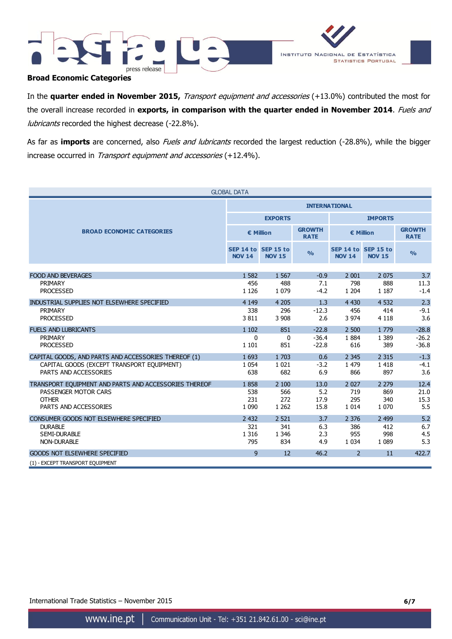



## **Broad Economic Categories**

In the **quarter ended in November 2015,** Transport equipment and accessories (+13.0%) contributed the most for the overall increase recorded in **exports, in comparison with the quarter ended in November 2014**. Fuels and lubricants recorded the highest decrease (-22.8%).

As far as *imports* are concerned, also *Fuels and lubricants* recorded the largest reduction (-28.8%), while the bigger increase occurred in *Transport equipment and accessories* (+12.4%).

| <b>GLOBAL DATA</b>                                    |               |                                      |                              |                |                                      |                              |  |  |  |
|-------------------------------------------------------|---------------|--------------------------------------|------------------------------|----------------|--------------------------------------|------------------------------|--|--|--|
|                                                       |               | <b>INTERNATIONAL</b>                 |                              |                |                                      |                              |  |  |  |
|                                                       |               | <b>EXPORTS</b>                       |                              | <b>IMPORTS</b> |                                      |                              |  |  |  |
| <b>BROAD ECONOMIC CATEGORIES</b>                      |               | € Million                            | <b>GROWTH</b><br><b>RATE</b> | € Million      |                                      | <b>GROWTH</b><br><b>RATE</b> |  |  |  |
|                                                       | <b>NOV 14</b> | SEP 14 to SEP 15 to<br><b>NOV 15</b> | $\frac{9}{6}$                | <b>NOV 14</b>  | SEP 14 to SEP 15 to<br><b>NOV 15</b> | $\frac{9}{0}$                |  |  |  |
|                                                       |               |                                      |                              |                |                                      |                              |  |  |  |
| <b>FOOD AND BEVERAGES</b>                             | 1 5 8 2       | 1 5 6 7                              | $-0.9$                       | 2 0 0 1        | 2 0 7 5                              | 3.7                          |  |  |  |
| PRIMARY                                               | 456           | 488                                  | 7.1                          | 798            | 888                                  | 11.3                         |  |  |  |
| <b>PROCESSED</b>                                      | 1 1 2 6       | 1 0 7 9                              | $-4.2$                       | 1 2 0 4        | 1 1 8 7                              | $-1.4$                       |  |  |  |
| INDUSTRIAL SUPPLIES NOT ELSEWHERE SPECIFIED           | 4 1 4 9       | 4 2 0 5                              | 1.3                          | 4 4 3 0        | 4 5 32                               | 2.3                          |  |  |  |
| PRIMARY                                               | 338           | 296                                  | $-12.3$                      | 456            | 414                                  | $-9.1$                       |  |  |  |
| <b>PROCESSED</b>                                      | 3811          | 3 9 0 8                              | 2.6                          | 3 9 7 4        | 4 1 1 8                              | 3.6                          |  |  |  |
| <b>FUELS AND LUBRICANTS</b>                           | 1 1 0 2       | 851                                  | $-22.8$                      | 2 500          | 1779                                 | $-28.8$                      |  |  |  |
| PRIMARY                                               | 0             | $\mathbf{0}$                         | $-36.4$                      | 1884           | 1 3 8 9                              | $-26.2$                      |  |  |  |
| <b>PROCESSED</b>                                      | 1 1 0 1       | 851                                  | $-22.8$                      | 616            | 389                                  | $-36.8$                      |  |  |  |
| CAPITAL GOODS, AND PARTS AND ACCESSORIES THEREOF (1)  | 1 6 9 3       | 1 703                                | 0.6                          | 2 3 4 5        | 2 3 1 5                              | $-1.3$                       |  |  |  |
| CAPITAL GOODS (EXCEPT TRANSPORT EQUIPMENT)            | 1 0 5 4       | 1 0 2 1                              | $-3.2$                       | 1 4 7 9        | 1418                                 | $-4.1$                       |  |  |  |
| PARTS AND ACCESSORIES                                 | 638           | 682                                  | 6.9                          | 866            | 897                                  | 3.6                          |  |  |  |
| TRANSPORT EQUIPMENT AND PARTS AND ACCESSORIES THEREOF | 1858          | 2 100                                | 13.0                         | 2 0 2 7        | 2 2 7 9                              | 12.4                         |  |  |  |
| PASSENGER MOTOR CARS                                  | 538           | 566                                  | 5.2                          | 719            | 869                                  | 21.0                         |  |  |  |
| <b>OTHER</b>                                          | 231           | 272                                  | 17.9                         | 295            | 340                                  | 15.3                         |  |  |  |
| PARTS AND ACCESSORIES                                 | 1 0 9 0       | 1 2 6 2                              | 15.8                         | 1 0 1 4        | 1 0 7 0                              | 5.5                          |  |  |  |
| CONSUMER GOODS NOT ELSEWHERE SPECIFIED                | 2 4 3 2       | 2 5 2 1                              | 3.7                          | 2 3 7 6        | 2 4 9 9                              | 5.2                          |  |  |  |
| <b>DURABLE</b>                                        | 321           | 341                                  | 6.3                          | 386            | 412                                  | 6.7                          |  |  |  |
| <b>SEMI-DURABLE</b>                                   | 1 3 1 6       | 1 3 4 6                              | 2.3                          | 955            | 998                                  | 4.5                          |  |  |  |
| <b>NON-DURABLE</b>                                    | 795           | 834                                  | 4.9                          | 1 0 3 4        | 1 0 8 9                              | 5.3                          |  |  |  |
| <b>GOODS NOT ELSEWHERE SPECIFIED</b>                  | 9             | 12                                   | 46.2                         | $\overline{2}$ | 11                                   | 422.7                        |  |  |  |
| (1) - EXCEPT TRANSPORT EOUIPMENT                      |               |                                      |                              |                |                                      |                              |  |  |  |

International Trade Statistics – November 2015 **6/7**